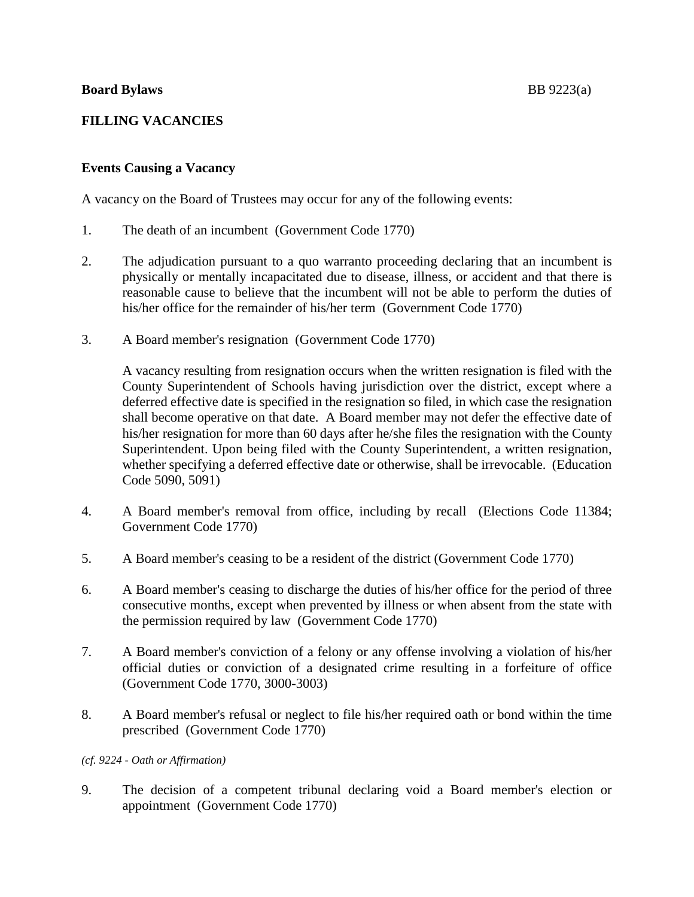# **FILLING VACANCIES**

## **Events Causing a Vacancy**

A vacancy on the Board of Trustees may occur for any of the following events:

- 1. The death of an incumbent (Government Code 1770)
- 2. The adjudication pursuant to a quo warranto proceeding declaring that an incumbent is physically or mentally incapacitated due to disease, illness, or accident and that there is reasonable cause to believe that the incumbent will not be able to perform the duties of his/her office for the remainder of his/her term (Government Code 1770)
- 3. A Board member's resignation (Government Code 1770)

A vacancy resulting from resignation occurs when the written resignation is filed with the County Superintendent of Schools having jurisdiction over the district, except where a deferred effective date is specified in the resignation so filed, in which case the resignation shall become operative on that date. A Board member may not defer the effective date of his/her resignation for more than 60 days after he/she files the resignation with the County Superintendent. Upon being filed with the County Superintendent, a written resignation, whether specifying a deferred effective date or otherwise, shall be irrevocable. (Education Code 5090, 5091)

- 4. A Board member's removal from office, including by recall (Elections Code 11384; Government Code 1770)
- 5. A Board member's ceasing to be a resident of the district (Government Code 1770)
- 6. A Board member's ceasing to discharge the duties of his/her office for the period of three consecutive months, except when prevented by illness or when absent from the state with the permission required by law (Government Code 1770)
- 7. A Board member's conviction of a felony or any offense involving a violation of his/her official duties or conviction of a designated crime resulting in a forfeiture of office (Government Code 1770, 3000-3003)
- 8. A Board member's refusal or neglect to file his/her required oath or bond within the time prescribed (Government Code 1770)

## *(cf. 9224 - Oath or Affirmation)*

9. The decision of a competent tribunal declaring void a Board member's election or appointment (Government Code 1770)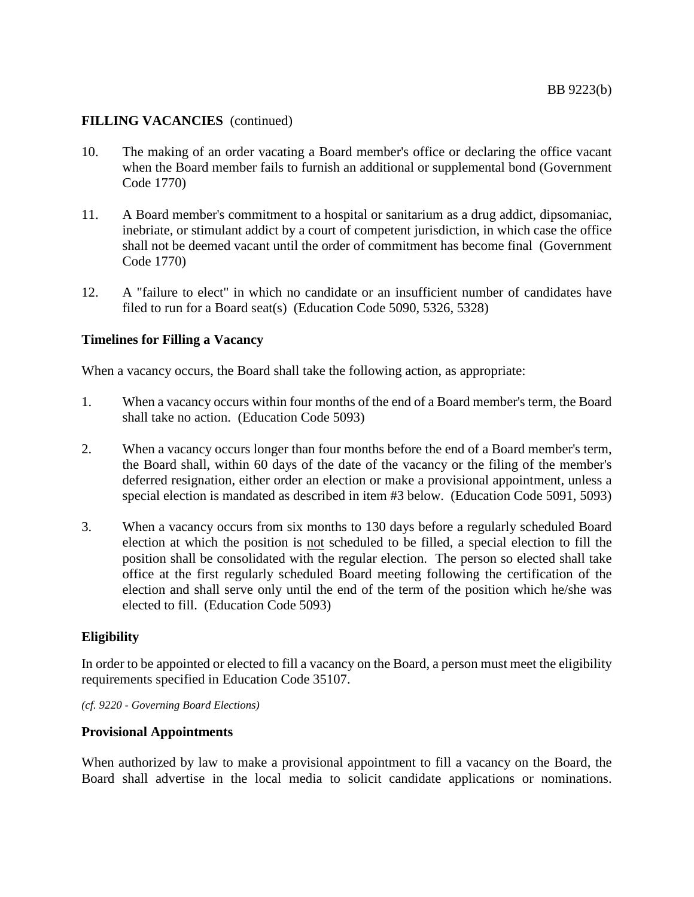### **FILLING VACANCIES** (continued)

- 10. The making of an order vacating a Board member's office or declaring the office vacant when the Board member fails to furnish an additional or supplemental bond (Government Code 1770)
- 11. A Board member's commitment to a hospital or sanitarium as a drug addict, dipsomaniac, inebriate, or stimulant addict by a court of competent jurisdiction, in which case the office shall not be deemed vacant until the order of commitment has become final (Government Code 1770)
- 12. A "failure to elect" in which no candidate or an insufficient number of candidates have filed to run for a Board seat(s) (Education Code 5090, 5326, 5328)

### **Timelines for Filling a Vacancy**

When a vacancy occurs, the Board shall take the following action, as appropriate:

- 1. When a vacancy occurs within four months of the end of a Board member's term, the Board shall take no action. (Education Code 5093)
- 2. When a vacancy occurs longer than four months before the end of a Board member's term, the Board shall, within 60 days of the date of the vacancy or the filing of the member's deferred resignation, either order an election or make a provisional appointment, unless a special election is mandated as described in item #3 below. (Education Code 5091, 5093)
- 3. When a vacancy occurs from six months to 130 days before a regularly scheduled Board election at which the position is not scheduled to be filled, a special election to fill the position shall be consolidated with the regular election. The person so elected shall take office at the first regularly scheduled Board meeting following the certification of the election and shall serve only until the end of the term of the position which he/she was elected to fill. (Education Code 5093)

### **Eligibility**

In order to be appointed or elected to fill a vacancy on the Board, a person must meet the eligibility requirements specified in Education Code 35107.

*(cf. 9220 - Governing Board Elections)*

#### **Provisional Appointments**

When authorized by law to make a provisional appointment to fill a vacancy on the Board, the Board shall advertise in the local media to solicit candidate applications or nominations.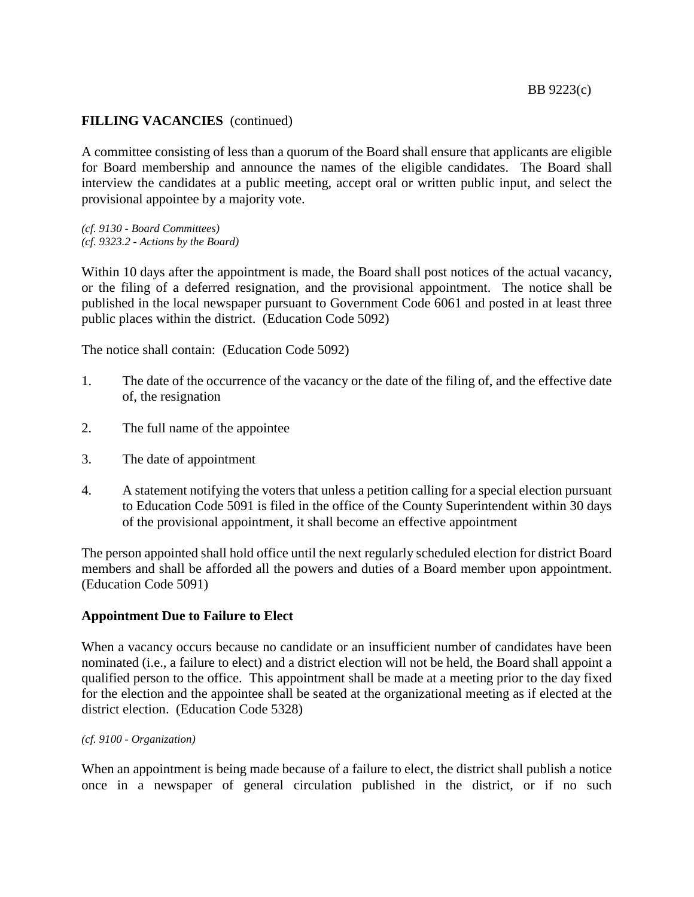## **FILLING VACANCIES** (continued)

A committee consisting of less than a quorum of the Board shall ensure that applicants are eligible for Board membership and announce the names of the eligible candidates. The Board shall interview the candidates at a public meeting, accept oral or written public input, and select the provisional appointee by a majority vote.

*(cf. 9130 - Board Committees) (cf. 9323.2 - Actions by the Board)*

Within 10 days after the appointment is made, the Board shall post notices of the actual vacancy, or the filing of a deferred resignation, and the provisional appointment. The notice shall be published in the local newspaper pursuant to Government Code 6061 and posted in at least three public places within the district. (Education Code 5092)

The notice shall contain: (Education Code 5092)

- 1. The date of the occurrence of the vacancy or the date of the filing of, and the effective date of, the resignation
- 2. The full name of the appointee
- 3. The date of appointment
- 4. A statement notifying the voters that unless a petition calling for a special election pursuant to Education Code 5091 is filed in the office of the County Superintendent within 30 days of the provisional appointment, it shall become an effective appointment

The person appointed shall hold office until the next regularly scheduled election for district Board members and shall be afforded all the powers and duties of a Board member upon appointment. (Education Code 5091)

### **Appointment Due to Failure to Elect**

When a vacancy occurs because no candidate or an insufficient number of candidates have been nominated (i.e., a failure to elect) and a district election will not be held, the Board shall appoint a qualified person to the office. This appointment shall be made at a meeting prior to the day fixed for the election and the appointee shall be seated at the organizational meeting as if elected at the district election. (Education Code 5328)

*(cf. 9100 - Organization)*

When an appointment is being made because of a failure to elect, the district shall publish a notice once in a newspaper of general circulation published in the district, or if no such